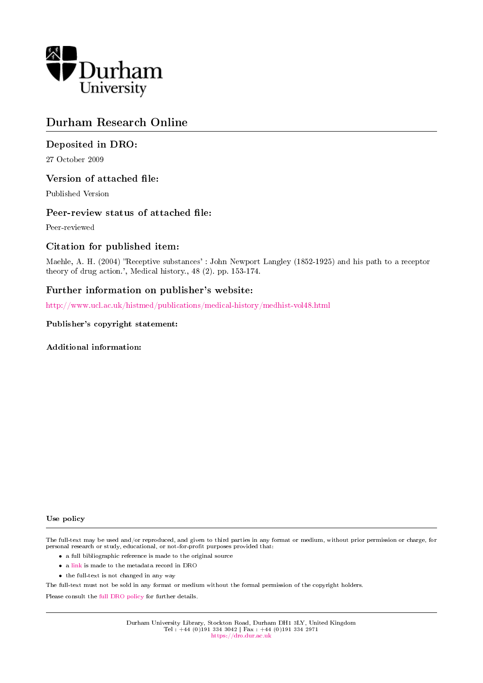

# Durham Research Online

# Deposited in DRO:

27 October 2009

## Version of attached file:

Published Version

## Peer-review status of attached file:

Peer-reviewed

# Citation for published item:

Maehle, A. H. (2004) "Receptive substances' : John Newport Langley (1852-1925) and his path to a receptor theory of drug action.', Medical history., 48 (2). pp. 153-174.

# Further information on publisher's website:

<http://www.ucl.ac.uk/histmed/publications/medical-history/medhist-vol48.html>

### Publisher's copyright statement:

Additional information:

### Use policy

The full-text may be used and/or reproduced, and given to third parties in any format or medium, without prior permission or charge, for personal research or study, educational, or not-for-profit purposes provided that:

- a full bibliographic reference is made to the original source
- a [link](http://dro.dur.ac.uk/2868/) is made to the metadata record in DRO
- the full-text is not changed in any way

The full-text must not be sold in any format or medium without the formal permission of the copyright holders.

Please consult the [full DRO policy](https://dro.dur.ac.uk/policies/usepolicy.pdf) for further details.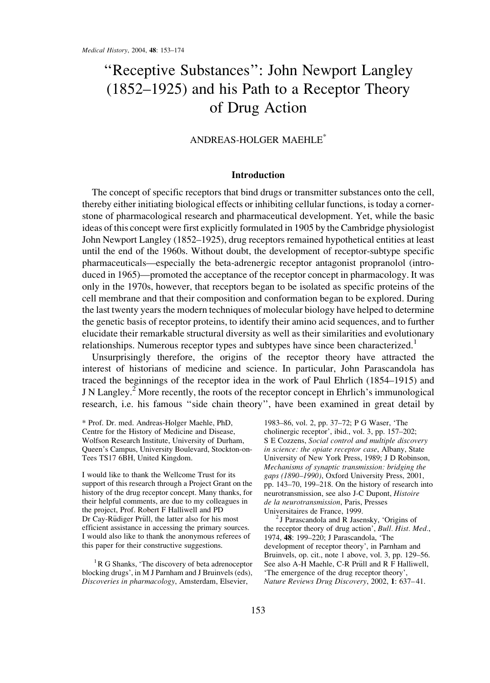# "Receptive Substances": John Newport Langley  $(1852-1925)$  and his Path to a Receptor Theory of Drug Action

### ANDREAS-HOLGER MAEHLE<sup>\*</sup>

#### **Introduction**

The concept of specific receptors that bind drugs or transmitter substances onto the cell, thereby either initiating biological effects or inhibiting cellular functions, is today a cornerstone of pharmacological research and pharmaceutical development. Yet, while the basic ideas of this concept were first explicitly formulated in 1905 by the Cambridge physiologist John Newport Langley (1852–1925), drug receptors remained hypothetical entities at least until the end of the 1960s. Without doubt, the development of receptor-subtype specific pharmaceuticals—especially the beta-adrenergic receptor antagonist propranolol (introduced in 1965)—promoted the acceptance of the receptor concept in pharmacology. It was only in the 1970s, however, that receptors began to be isolated as specific proteins of the cell membrane and that their composition and conformation began to be explored. During the last twenty years the modern techniques of molecular biology have helped to determine the genetic basis of receptor proteins, to identify their amino acid sequences, and to further elucidate their remarkable structural diversity as well as their similarities and evolutionary relationships. Numerous receptor types and subtypes have since been characterized.<sup>1</sup>

Unsurprisingly therefore, the origins of the receptor theory have attracted the interest of historians of medicine and science. In particular, John Parascandola has traced the beginnings of the receptor idea in the work of Paul Ehrlich (1854–1915) and J N Langley.<sup>2</sup> More recently, the roots of the receptor concept in Ehrlich's immunological research, *i.e.* his famous "side chain theory", have been examined in great detail by

\* Prof. Dr. med. Andreas-Holger Maehle, PhD, Centre for the History of Medicine and Disease, Wolfson Research Institute, University of Durham, Queen's Campus, University Boulevard, Stockton-on-Tees TS17 6BH, United Kingdom.

I would like to thank the Wellcome Trust for its support of this research through a Project Grant on the history of the drug receptor concept. Many thanks, for their helpful comments, are due to my colleagues in the project, Prof. Robert F Halliwell and PD Dr Cay-Rüdiger Prüll, the latter also for his most efficient assistance in accessing the primary sources. I would also like to thank the anonymous referees of this paper for their constructive suggestions.

 ${}^{1}R$  G Shanks, 'The discovery of beta adrenoceptor blocking drugs', in M J Parnham and J Bruinvels (eds), Discoveries in pharmacology, Amsterdam, Elsevier,

1983-86, vol. 2, pp. 37-72; P G Waser, 'The cholinergic receptor', ibid., vol. 3, pp. 157-202; S E Cozzens, Social control and multiple discovery in science: the opiate receptor case, Albany, State University of New York Press, 1989; J D Robinson, Mechanisms of synaptic transmission: bridging the gaps (1890–1990), Oxford University Press, 2001, pp.  $143-70$ ,  $199-218$ . On the history of research into neurotransmission, see also J-C Dupont, Histoire de la neurotransmission, Paris, Presses Universitaires de France, 1999.

<sup>2</sup>J Parascandola and R Jasensky, 'Origins of the receptor theory of drug action', Bull. Hist. Med., 1974. 48: 199-220: J Parascandola. 'The development of receptor theory', in Parnham and Bruinvels, op. cit., note 1 above, vol. 3, pp. 129–56. See also A-H Maehle, C-R Prüll and R F Halliwell, 'The emergence of the drug receptor theory', Nature Reviews Drug Discovery, 2002, 1: 637-41.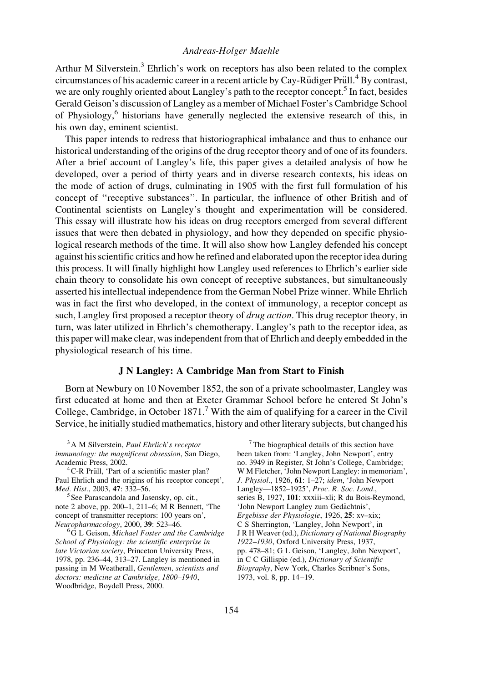Arthur M Silverstein.<sup>3</sup> Ehrlich's work on receptors has also been related to the complex circumstances of his academic career in a recent article by Cay-Rüdiger Prüll.<sup>4</sup> By contrast, we are only roughly oriented about Langley's path to the receptor concept.<sup>5</sup> In fact, besides Gerald Geison's discussion of Langley as a member of Michael Foster's Cambridge School of Physiology,<sup>6</sup> historians have generally neglected the extensive research of this, in his own day, eminent scientist.

This paper intends to redress that historiographical imbalance and thus to enhance our historical understanding of the origins of the drug receptor theory and of one of its founders. After a brief account of Langley's life, this paper gives a detailed analysis of how he developed, over a period of thirty years and in diverse research contexts, his ideas on the mode of action of drugs, culminating in 1905 with the first full formulation of his concept of "receptive substances". In particular, the influence of other British and of Continental scientists on Langley's thought and experimentation will be considered. This essay will illustrate how his ideas on drug receptors emerged from several different issues that were then debated in physiology, and how they depended on specific physiological research methods of the time. It will also show how Langley defended his concept against his scientific critics and how he refined and elaborated upon the receptor idea during this process. It will finally highlight how Langley used references to Ehrlich's earlier side chain theory to consolidate his own concept of receptive substances, but simultaneously asserted his intellectual independence from the German Nobel Prize winner. While Ehrlich was in fact the first who developed, in the context of immunology, a receptor concept as such, Langley first proposed a receptor theory of *drug action*. This drug receptor theory, in turn, was later utilized in Ehrlich's chemotherapy. Langley's path to the receptor idea, as this paper will make clear, was independent from that of Ehrlich and deeply embedded in the physiological research of his time.

#### **J N Langley: A Cambridge Man from Start to Finish**

Born at Newbury on 10 November 1852, the son of a private schoolmaster, Langley was first educated at home and then at Exeter Grammar School before he entered St John's College, Cambridge, in October 1871.<sup>7</sup> With the aim of qualifying for a career in the Civil Service, he initially studied mathematics, history and other literary subjects, but changed his

<sup>3</sup>A M Silverstein, *Paul Ehrlich's receptor immunology: the magnificent obsession*, San Diego, Academic Press, 2002.

<sup>4</sup>C-R Prüll, 'Part of a scientific master plan? Paul Ehrlich and the origins of his receptor concept', Med. Hist., 2003, 47: 332-56.

<sup>5</sup> See Parascandola and Jasensky, op. cit., note 2 above, pp. 200-1, 211-6; M R Bennett, 'The concept of transmitter receptors: 100 years on', Neuropharmacology, 2000, 39: 523-46.

 ${}^{6}$ G L Geison, Michael Foster and the Cambridge School of Physiology: the scientific enterprise in late Victorian society, Princeton University Press, 1978, pp. 236–44, 313–27. Langley is mentioned in passing in M Weatherall, Gentlemen, scientists and doctors: medicine at Cambridge, 1800-1940, Woodbridge, Boydell Press, 2000.

 $7$ The biographical details of this section have been taken from: 'Langley, John Newport', entry no. 3949 in Register. St John's College. Cambridge: W M Fletcher, 'John Newport Langley: in memoriam', J. Physiol., 1926, 61: 1-27; idem, 'John Newport Langley-1852-1925', Proc. R. Soc. Lond., series B, 1927, 101: xxxiii-xli; R du Bois-Reymond, 'John Newport Langley zum Gedächtnis', Ergebisse der Physiologie, 1926, 25: xv-xix; C S Sherrington, 'Langley, John Newport', in JR H Weaver (ed.), Dictionary of National Biography 1922-1930, Oxford University Press, 1937, pp. 478-81; G L Geison, 'Langley, John Newport', in C C Gillispie (ed.), Dictionary of Scientific Biography, New York, Charles Scribner's Sons, 1973, vol. 8, pp. 14-19.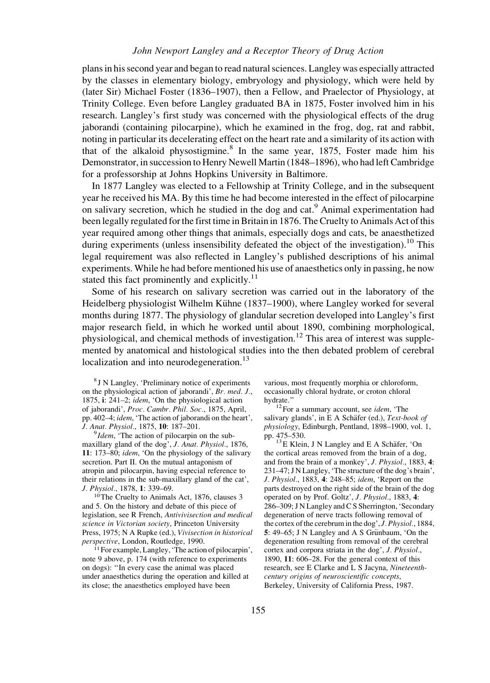plans in his second year and began to read natural sciences. Langley was especially attracted by the classes in elementary biology, embryology and physiology, which were held by (later Sir) Michael Foster (1836–1907), then a Fellow, and Praelector of Physiology, at Trinity College. Even before Langley graduated BA in 1875, Foster involved him in his research. Langley's first study was concerned with the physiological effects of the drug jaborandi (containing pilocarpine), which he examined in the frog, dog, rat and rabbit, noting in particular its decelerating effect on the heart rate and a similarity of its action with that of the alkaloid physostigmine.<sup>8</sup> In the same year, 1875, Foster made him his Demonstrator, in succession to Henry Newell Martin (1848–1896), who had left Cambridge for a professorship at Johns Hopkins University in Baltimore.

In 1877 Langley was elected to a Fellowship at Trinity College, and in the subsequent year he received his MA. By this time he had become interested in the effect of pilocarpine on salivary secretion, which he studied in the dog and cat.<sup>9</sup> Animal experimentation had been legally regulated for the first time in Britain in 1876. The Cruelty to Animals Act of this year required among other things that animals, especially dogs and cats, be anaesthetized during experiments (unless insensibility defeated the object of the investigation).<sup>10</sup> This legal requirement was also reflected in Langley's published descriptions of his animal experiments. While he had before mentioned his use of anaesthetics only in passing, he now stated this fact prominently and explicitly. $^{11}$ 

Some of his research on salivary secretion was carried out in the laboratory of the Heidelberg physiologist Wilhelm Kühne (1837–1900), where Langley worked for several months during 1877. The physiology of glandular secretion developed into Langley's first major research field, in which he worked until about 1890, combining morphological, physiological, and chemical methods of investigation.<sup>12</sup> This area of interest was supplemented by anatomical and histological studies into the then debated problem of cerebral localization and into neurodegeneration.<sup>13</sup>

<sup>8</sup> J N Langley, 'Preliminary notice of experiments on the physiological action of jaborandi', Br. med. J., 1875, i: 241–2; *idem*, 'On the physiological action of jaborandi', Proc. Cambr. Phil. Soc., 1875, April, pp. 402-4; idem, 'The action of jaborandi on the heart', J. Anat. Physiol., 1875, 10: 187-201.

*didem*, 'The action of pilocarpin on the submaxillary gland of the dog', J. Anat. Physiol., 1876, 11: 173–80; idem, 'On the physiology of the salivary secretion. Part II. On the mutual antagonism of atropin and pilocarpin, having especial reference to their relations in the sub-maxillary gland of the cat', J. Physiol., 1878, 1: 339-69.

 $10$  The Cruelty to Animals Act, 1876, clauses 3 and 5. On the history and debate of this piece of legislation, see R French, Antivivisection and medical science in Victorian society, Princeton University Press, 1975; N A Rupke (ed.), Vivisection in historical perspective, London, Routledge, 1990.

<sup>11</sup> For example, Langley, 'The action of pilocarpin', note 9 above, p. 174 (with reference to experiments on dogs): "In every case the animal was placed under anaesthetics during the operation and killed at its close; the anaesthetics employed have been

various, most frequently morphia or chloroform, occasionally chloral hydrate, or croton chloral hydrate."

 $12$  For a summary account, see *idem*, 'The salivary glands', in E A Schäfer (ed.), Text-book of physiology, Edinburgh, Pentland, 1898-1900, vol. 1,

pp. 475–530.<br> $^{13}E$  Klein, J N Langley and E A Schäfer, 'On the cortical areas removed from the brain of a dog, and from the brain of a monkey', J. Physiol., 1883, 4: 231-47; JN Langley, 'The structure of the dog's brain', J. Physiol., 1883, 4: 248-85; idem, 'Report on the parts destroyed on the right side of the brain of the dog operated on by Prof. Goltz', J. Physiol., 1883, 4: 286-309; J N Langley and C S Sherrington, 'Secondary degeneration of nerve tracts following removal of the cortex of the cerebrum in the dog', J. Physiol., 1884, 5: 49–65; J N Langley and A S Grünbaum, 'On the degeneration resulting from removal of the cerebral cortex and corpora striata in the dog', J. Physiol., 1890, 11: 606-28. For the general context of this research, see E Clarke and L S Jacyna, Nineteenthcentury origins of neuroscientific concepts, Berkeley, University of California Press, 1987.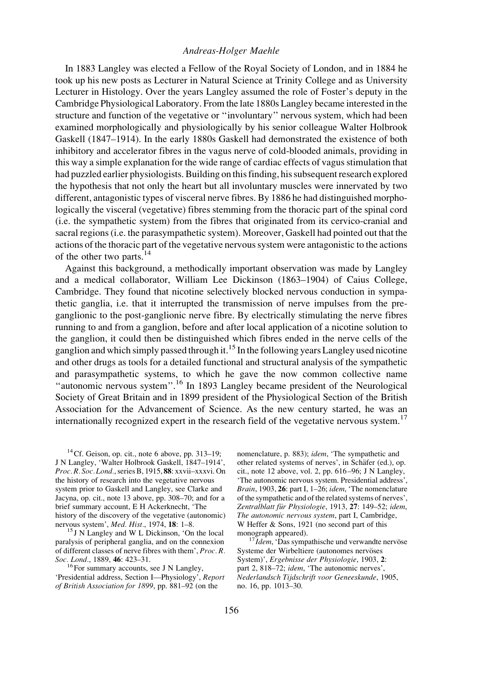In 1883 Langley was elected a Fellow of the Royal Society of London, and in 1884 he took up his new posts as Lecturer in Natural Science at Trinity College and as University Lecturer in Histology. Over the years Langley assumed the role of Foster's deputy in the Cambridge Physiological Laboratory. From the late 1880s Langley became interested in the structure and function of the vegetative or "involuntary" nervous system, which had been examined morphologically and physiologically by his senior colleague Walter Holbrook Gaskell (1847–1914). In the early 1880s Gaskell had demonstrated the existence of both inhibitory and accelerator fibres in the vagus nerve of cold-blooded animals, providing in this way a simple explanation for the wide range of cardiac effects of vagus stimulation that had puzzled earlier physiologists. Building on this finding, his subsequent research explored the hypothesis that not only the heart but all involuntary muscles were innervated by two different, antagonistic types of visceral nerve fibres. By 1886 he had distinguished morphologically the visceral (vegetative) fibres stemming from the thoracic part of the spinal cord (i.e. the sympathetic system) from the fibres that originated from its cervico-cranial and sacral regions (i.e. the parasympathetic system). Moreover, Gaskell had pointed out that the actions of the thoracic part of the vegetative nervous system were antagonistic to the actions of the other two parts.<sup>14</sup>

Against this background, a methodically important observation was made by Langley and a medical collaborator, William Lee Dickinson (1863-1904) of Caius College, Cambridge. They found that nicotine selectively blocked nervous conduction in sympathetic ganglia, i.e. that it interrupted the transmission of nerve impulses from the preganglionic to the post-ganglionic nerve fibre. By electrically stimulating the nerve fibres running to and from a ganglion, before and after local application of a nicotine solution to the ganglion, it could then be distinguished which fibres ended in the nerve cells of the ganglion and which simply passed through it.<sup>15</sup> In the following years Langley used nicotine and other drugs as tools for a detailed functional and structural analysis of the sympathetic and parasympathetic systems, to which he gave the now common collective name "autonomic nervous system".<sup>16</sup> In 1893 Langley became president of the Neurological Society of Great Britain and in 1899 president of the Physiological Section of the British Association for the Advancement of Science. As the new century started, he was an internationally recognized expert in the research field of the vegetative nervous system.<sup>17</sup>

<sup>14</sup> Cf. Geison, op. cit., note 6 above, pp. 313–19; J N Langley, 'Walter Holbrook Gaskell, 1847-1914'. Proc. R. Soc. Lond., series B, 1915, 88: xxvii-xxxvi. On the history of research into the vegetative nervous system prior to Gaskell and Langley, see Clarke and Jacyna, op. cit., note 13 above, pp. 308-70; and for a brief summary account, E H Ackerknecht, 'The history of the discovery of the vegetative (autonomic) nervous system', Med. Hist., 1974, 18: 1-8.

<sup>15</sup> J N Langley and W L Dickinson, 'On the local paralysis of peripheral ganglia, and on the connexion of different classes of nerve fibres with them', Proc. R. Soc. Lond., 1889, 46: 423-31.

<sup>16</sup> For summary accounts, see J N Langley, 'Presidential address, Section I-Physiology', Report of British Association for 1899, pp. 881-92 (on the

nomenclature, p. 883); idem, 'The sympathetic and other related systems of nerves', in Schäfer (ed.), on. cit., note 12 above, vol. 2, pp. 616-96; J N Langley, 'The autonomic nervous system. Presidential address', Brain, 1903, 26: part I, 1–26; *idem*, 'The nomenclature of the sympathetic and of the related systems of nerves', Zentralblatt für Physiologie, 1913, 27: 149-52; idem, The autonomic nervous system, part I, Cambridge, W Heffer & Sons, 1921 (no second part of this monograph appeared).

 $17$ Idem, 'Das sympathische und verwandte nervöse Systeme der Wirbeltiere (autonomes nervöses System)', Ergebnisse der Physiologie, 1903, 2: part 2, 818-72; idem, 'The autonomic nerves', Nederlandsch Tijdschrift voor Geneeskunde, 1905, no. 16, pp. 1013-30.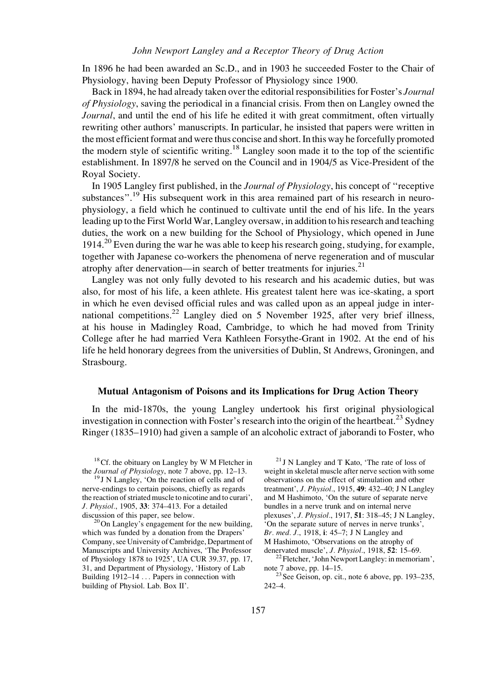In 1896 he had been awarded an Sc.D., and in 1903 he succeeded Foster to the Chair of Physiology, having been Deputy Professor of Physiology since 1900.

Back in 1894, he had already taken over the editorial responsibilities for Foster's Journal of Physiology, saving the periodical in a financial crisis. From then on Langley owned the *Journal*, and until the end of his life he edited it with great commitment, often virtually rewriting other authors' manuscripts. In particular, he insisted that papers were written in the most efficient format and were thus concise and short. In this way he forcefully promoted the modern style of scientific writing.<sup>18</sup> Langley soon made it to the top of the scientific establishment. In 1897/8 he served on the Council and in 1904/5 as Vice-President of the Royal Society.

In 1905 Langley first published, in the *Journal of Physiology*, his concept of "receptive" substances".<sup>19</sup> His subsequent work in this area remained part of his research in neurophysiology, a field which he continued to cultivate until the end of his life. In the years leading up to the First World War, Langley oversaw, in addition to his research and teaching duties, the work on a new building for the School of Physiology, which opened in June 1914.<sup>20</sup> Even during the war he was able to keep his research going, studying, for example, together with Japanese co-workers the phenomena of nerve regeneration and of muscular atrophy after denervation—in search of better treatments for injuries.<sup>21</sup>

Langley was not only fully devoted to his research and his academic duties, but was also, for most of his life, a keen athlete. His greatest talent here was ice-skating, a sport in which he even devised official rules and was called upon as an appeal judge in international competitions.<sup>22</sup> Langley died on 5 November 1925, after very brief illness, at his house in Madingley Road, Cambridge, to which he had moved from Trinity College after he had married Vera Kathleen Forsythe-Grant in 1902. At the end of his life he held honorary degrees from the universities of Dublin, St Andrews, Groningen, and Strasbourg.

#### Mutual Antagonism of Poisons and its Implications for Drug Action Theory

In the mid-1870s, the young Langley undertook his first original physiological investigation in connection with Foster's research into the origin of the heartbeat.<sup>23</sup> Sydney Ringer (1835–1910) had given a sample of an alcoholic extract of jaborandi to Foster, who

 $^{18}$  Cf. the obituary on Langlev by W M Fletcher in the Journal of Physiology, note 7 above, pp. 12-13.

<sup>19</sup> J N Langley, 'On the reaction of cells and of nerve-endings to certain poisons, chiefly as regards the reaction of striated muscle to nicotine and to curari', J. Physiol., 1905, 33: 374-413. For a detailed discussion of this paper, see below.<br> $^{20}$ On Langley's engagement for the new building,

which was funded by a donation from the Drapers' Company, see University of Cambridge, Department of Manuscripts and University Archives, 'The Professor of Physiology 1878 to 1925', UA CUR 39.37, pp. 17, 31, and Department of Physiology, 'History of Lab Building 1912–14 ... Papers in connection with building of Physiol. Lab. Box II'.

 $^{21}$  J N Langlev and T Kato. 'The rate of loss of weight in skeletal muscle after nerve section with some observations on the effect of stimulation and other treatment', *J. Physiol.*, 1915, 49: 432–40; J N Langley and M Hashimoto, 'On the suture of separate nerve bundles in a nerve trunk and on internal nerve plexuses', J. Physiol., 1917, 51: 318-45; J N Langley, 'On the separate suture of nerves in nerve trunks', Br. med. J., 1918, i: 45–7; J N Langley and M Hashimoto, 'Observations on the atrophy of denervated muscle', *J. Physiol.*, 1918, 52: 15-69.

<sup>22</sup> Fletcher, 'John Newport Langley: in memoriam', note 7 above, pp. 14–15.<br><sup>23</sup> See Geison, op. cit., note 6 above, pp. 193–235,

 $242 - 4.$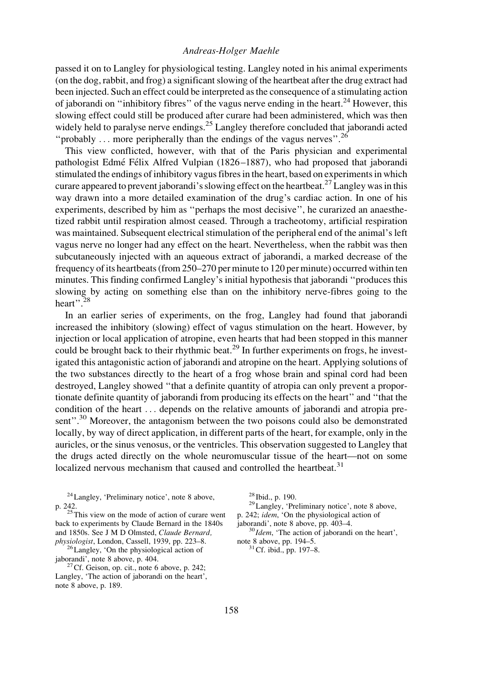passed it on to Langley for physiological testing. Langley noted in his animal experiments (on the dog, rabbit, and frog) a significant slowing of the heartbeat after the drug extract had been injected. Such an effect could be interpreted as the consequence of a stimulating action of jaborandi on "inhibitory fibres" of the vagus nerve ending in the heart.<sup>24</sup> However, this slowing effect could still be produced after curare had been administered, which was then widely held to paralyse nerve endings.<sup>25</sup> Langley therefore concluded that jaborandi acted "probably ... more peripherally than the endings of the vagus nerves".  $^{26}$ 

This view conflicted, however, with that of the Paris physician and experimental pathologist Edmé Félix Alfred Vulpian (1826–1887), who had proposed that jaborandi stimulated the endings of inhibitory vagus fibres in the heart, based on experiments in which curare appeared to prevent jaborandi's slowing effect on the heartbeat.<sup>27</sup> Langley was in this way drawn into a more detailed examination of the drug's cardiac action. In one of his experiments, described by him as "perhaps the most decisive", he curarized an anaesthetized rabbit until respiration almost ceased. Through a tracheotomy, artificial respiration was maintained. Subsequent electrical stimulation of the peripheral end of the animal's left vagus nerve no longer had any effect on the heart. Nevertheless, when the rabbit was then subcutaneously injected with an aqueous extract of jaborandi, a marked decrease of the frequency of its heartbeats (from 250–270 per minute to 120 per minute) occurred within ten minutes. This finding confirmed Langley's initial hypothesis that jaborandi "produces this slowing by acting on something else than on the inhibitory nerve-fibres going to the heart".<sup>28</sup>

In an earlier series of experiments, on the frog, Langley had found that jaborandi increased the inhibitory (slowing) effect of vagus stimulation on the heart. However, by injection or local application of atropine, even hearts that had been stopped in this manner could be brought back to their rhythmic beat.<sup>29</sup> In further experiments on frogs, he investigated this antagonistic action of jaborandi and atropine on the heart. Applying solutions of the two substances directly to the heart of a frog whose brain and spinal cord had been destroyed, Langley showed "that a definite quantity of atropia can only prevent a proportionate definite quantity of jaborandi from producing its effects on the heart" and "that the condition of the heart ... depends on the relative amounts of jaborandi and atropia present".<sup>30</sup> Moreover, the antagonism between the two poisons could also be demonstrated locally, by way of direct application, in different parts of the heart, for example, only in the auricles, or the sinus venosus, or the ventricles. This observation suggested to Langley that the drugs acted directly on the whole neuromuscular tissue of the heart—not on some localized nervous mechanism that caused and controlled the heartbeat.<sup>31</sup>

<sup>24</sup> Langley, 'Preliminary notice', note 8 above, p. 242.

 $25$ <sup>25</sup>This view on the mode of action of curare went back to experiments by Claude Bernard in the 1840s and 1850s. See J M D Olmsted, Claude Bernard, physiologist, London, Cassell, 1939, pp. 223-8.

<sup>26</sup>Langley, 'On the physiological action of jaborandi', note 8 above, p. 404.

 $27$  Cf. Geison, op. cit., note 6 above, p. 242; Langley, 'The action of jaborandi on the heart', note 8 above, p. 189.

<sup>28</sup> Ibid., p. 190.

<sup>29</sup> Langley, 'Preliminary notice', note 8 above, p. 242: *idem*. 'On the physiological action of

jaborandi', note 8 above, pp. 403-4.

 $30$  *Idem*, 'The action of jaborandi on the heart', note 8 above, pp. 194-5.

<sup>31</sup> Cf. ibid., pp. 197-8.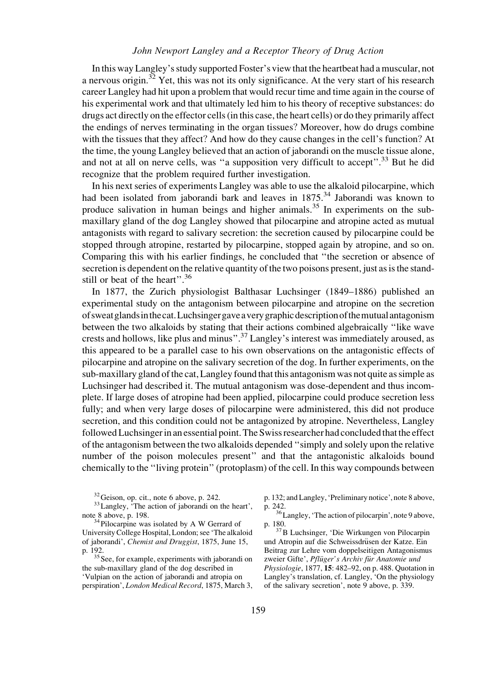In this way Langley's study supported Foster's view that the heartbeat had a muscular, not a nervous origin.<sup>32</sup> Yet, this was not its only significance. At the very start of his research career Langley had hit upon a problem that would recur time and time again in the course of his experimental work and that ultimately led him to his theory of receptive substances: do drugs act directly on the effector cells (in this case, the heart cells) or do they primarily affect the endings of nerves terminating in the organ tissues? Moreover, how do drugs combine with the tissues that they affect? And how do they cause changes in the cell's function? At the time, the young Langley believed that an action of jaborandi on the muscle tissue alone, and not at all on nerve cells, was "a supposition very difficult to accept".<sup>33</sup> But he did recognize that the problem required further investigation.

In his next series of experiments Langley was able to use the alkaloid pilocarpine, which had been isolated from jaborandi bark and leaves in 1875.<sup>34</sup> Jaborandi was known to produce salivation in human beings and higher animals.<sup>35</sup> In experiments on the submaxillary gland of the dog Langley showed that pilocarpine and atropine acted as mutual antagonists with regard to salivary secretion: the secretion caused by pilocarpine could be stopped through atropine, restarted by pilocarpine, stopped again by atropine, and so on. Comparing this with his earlier findings, he concluded that "the secretion or absence of secretion is dependent on the relative quantity of the two poisons present, just as is the standstill or beat of the heart".<sup>36</sup>

In 1877, the Zurich physiologist Balthasar Luchsinger (1849–1886) published an experimental study on the antagonism between pilocarpine and atropine on the secretion of sweat glands in the cat. Luchsinger gave a very graphic description of the mutual antagonism between the two alkaloids by stating that their actions combined algebraically "like wave crests and hollows, like plus and minus".<sup>37</sup> Langley's interest was immediately aroused, as this appeared to be a parallel case to his own observations on the antagonistic effects of pilocarpine and atropine on the salivary secretion of the dog. In further experiments, on the sub-maxillary gland of the cat, Langley found that this antagonism was not quite as simple as Luchsinger had described it. The mutual antagonism was dose-dependent and thus incomplete. If large doses of atropine had been applied, pilocarpine could produce secretion less fully; and when very large doses of pilocarpine were administered, this did not produce secretion, and this condition could not be antagonized by atropine. Nevertheless, Langley followed Luchsinger in an essential point. The Swiss researcher had concluded that the effect of the antagonism between the two alkaloids depended "simply and solely upon the relative number of the poison molecules present" and that the antagonistic alkaloids bound chemically to the "living protein" (protoplasm) of the cell. In this way compounds between

<sup>32</sup> Geison, op. cit., note 6 above, p. 242.

<sup>33</sup> Langley, 'The action of jaborandi on the heart', note 8 above, p. 198.<br> $34$ Pilocarpine was isolated by A W Gerrard of

University College Hospital, London; see 'The alkaloid of jaborandi', Chemist and Druggist, 1875, June 15, p. 192.

<sup>35</sup> See, for example, experiments with jaborandi on the sub-maxillary gland of the dog described in 'Vulpian on the action of jaborandi and atropia on perspiration', London Medical Record, 1875, March 3,

p. 132; and Langley, 'Preliminary notice', note 8 above,

p. 242.<br> $36$ Langley, 'The action of pilocarpin', note 9 above,

p. 180.<br><sup>37</sup>B Luchsinger, 'Die Wirkungen von Pilocarpin Beitrag zur Lehre vom doppelseitigen Antagonismus zweier Gifte', Pflüger's Archiv für Anatomie und Physiologie, 1877, 15: 482-92, on p. 488. Quotation in Langley's translation, cf. Langley, 'On the physiology of the salivary secretion', note 9 above, p. 339.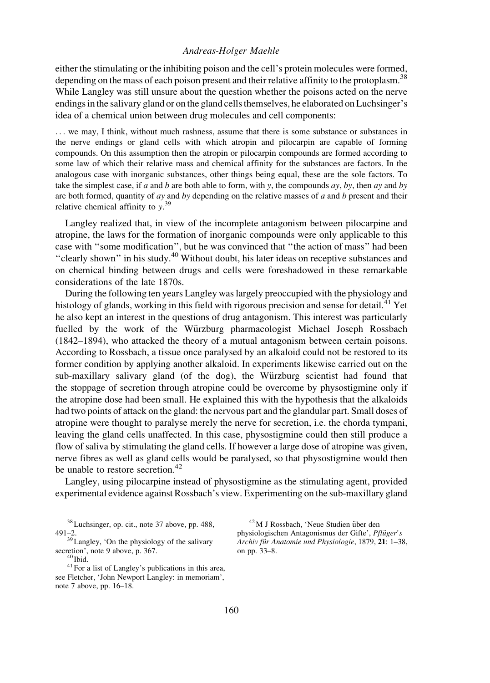either the stimulating or the inhibiting poison and the cell's protein molecules were formed, depending on the mass of each poison present and their relative affinity to the protoplasm.<sup>38</sup> While Langley was still unsure about the question whether the poisons acted on the nerve endings in the salivary gland or on the gland cells themselves, he elaborated on Luchsinger's idea of a chemical union between drug molecules and cell components:

... we may, I think, without much rashness, assume that there is some substance or substances in the nerve endings or gland cells with which atropin and pilocarpin are capable of forming compounds. On this assumption then the atropin or pilocarpin compounds are formed according to some law of which their relative mass and chemical affinity for the substances are factors. In the analogous case with inorganic substances, other things being equal, these are the sole factors. To take the simplest case, if a and b are both able to form, with y, the compounds  $ay$ , by, then ay and by are both formed, quantity of  $ay$  and by depending on the relative masses of  $a$  and  $b$  present and their relative chemical affinity to  $y$ <sup>39</sup>

Langley realized that, in view of the incomplete antagonism between pilocarpine and atropine, the laws for the formation of inorganic compounds were only applicable to this case with "some modification", but he was convinced that "the action of mass" had been "clearly shown" in his study.<sup>40</sup> Without doubt, his later ideas on receptive substances and on chemical binding between drugs and cells were foreshadowed in these remarkable considerations of the late 1870s.

During the following ten years Langley was largely preoccupied with the physiology and histology of glands, working in this field with rigorous precision and sense for detail.<sup>41</sup> Yet he also kept an interest in the questions of drug antagonism. This interest was particularly fuelled by the work of the Würzburg pharmacologist Michael Joseph Rossbach (1842–1894), who attacked the theory of a mutual antagonism between certain poisons. According to Rossbach, a tissue once paralysed by an alkaloid could not be restored to its former condition by applying another alkaloid. In experiments likewise carried out on the sub-maxillary salivary gland (of the dog), the Würzburg scientist had found that the stoppage of secretion through atropine could be overcome by physostigmine only if the atropine dose had been small. He explained this with the hypothesis that the alkaloids had two points of attack on the gland: the nervous part and the glandular part. Small doses of atropine were thought to paralyse merely the nerve for secretion, *i.e.* the chorda tympani, leaving the gland cells unaffected. In this case, physostigmine could then still produce a flow of saliva by stimulating the gland cells. If however a large dose of atropine was given, nerve fibres as well as gland cells would be paralysed, so that physostigmine would then be unable to restore secretion.<sup>42</sup>

Langley, using pilocarpine instead of physostigmine as the stimulating agent, provided experimental evidence against Rossbach's view. Experimenting on the sub-maxillary gland

<sup>41</sup> For a list of Langley's publications in this area, see Fletcher, 'John Newport Langley: in memoriam', note 7 above, pp. 16-18.

<sup>42</sup>M J Rossbach, 'Neue Studien über den physiologischen Antagonismus der Gifte', Pflüger's Archiv für Anatomie und Physiologie, 1879, 21: 1-38, on pp. 33-8.

<sup>&</sup>lt;sup>38</sup> Luchsinger, op. cit., note 37 above, pp. 488,

<sup>491–2.&</sup>lt;br><sup>39</sup> Langley, 'On the physiology of the salivary secretion', note 9 above, p. 367.

 $^{40}\mbox{Ibid.}$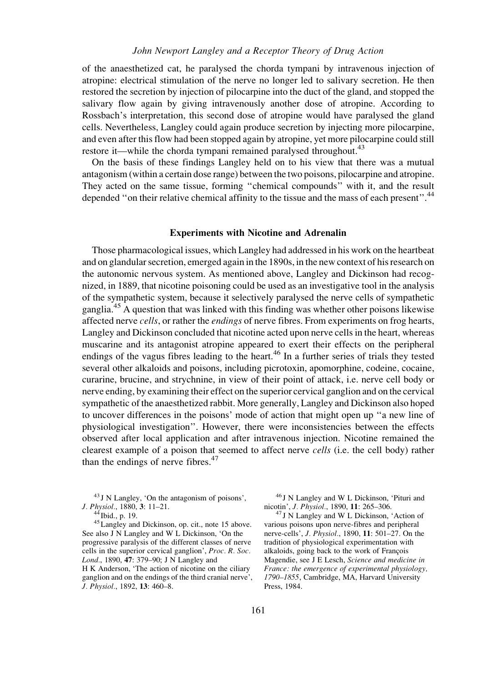of the anaesthetized cat, he paralysed the chorda tympani by intravenous injection of atropine: electrical stimulation of the nerve no longer led to salivary secretion. He then restored the secretion by injection of pilocarpine into the duct of the gland, and stopped the salivary flow again by giving intravenously another dose of atropine. According to Rossbach's interpretation, this second dose of atropine would have paralysed the gland cells. Nevertheless, Langley could again produce secretion by injecting more pilocarpine, and even after this flow had been stopped again by atropine, yet more pilocarpine could still restore it—while the chorda tympani remained paralysed throughout.<sup>43</sup>

On the basis of these findings Langley held on to his view that there was a mutual antagonism (within a certain dose range) between the two poisons, pilocarpine and atropine. They acted on the same tissue, forming "chemical compounds" with it, and the result depended "on their relative chemical affinity to the tissue and the mass of each present".<sup>44</sup>

#### **Experiments with Nicotine and Adrenalin**

Those pharmacological issues, which Langley had addressed in his work on the heartbeat and on glandular secretion, emerged again in the 1890s, in the new context of his research on the autonomic nervous system. As mentioned above, Langley and Dickinson had recognized, in 1889, that nicotine poisoning could be used as an investigative tool in the analysis of the sympathetic system, because it selectively paralysed the nerve cells of sympathetic ganglia.<sup>45</sup> A question that was linked with this finding was whether other poisons likewise affected nerve cells, or rather the endings of nerve fibres. From experiments on frog hearts, Langley and Dickinson concluded that nicotine acted upon nerve cells in the heart, whereas muscarine and its antagonist atropine appeared to exert their effects on the peripheral endings of the vagus fibres leading to the heart.<sup>46</sup> In a further series of trials they tested several other alkaloids and poisons, including picrotoxin, apomorphine, codeine, cocaine, curarine, brucine, and strychnine, in view of their point of attack, i.e. nerve cell body or nerve ending, by examining their effect on the superior cervical ganglion and on the cervical sympathetic of the anaesthetized rabbit. More generally, Langley and Dickinson also hoped to uncover differences in the poisons' mode of action that might open up "a new line of physiological investigation". However, there were inconsistencies between the effects observed after local application and after intravenous injection. Nicotine remained the clearest example of a poison that seemed to affect nerve cells (i.e. the cell body) rather than the endings of nerve fibres. $47$ 

 $43$  J N Langley, 'On the antagonism of poisons', J. Physiol., 1880, 3: 11-21.

 $44$  Ibid., p. 19.

<sup>45</sup> Langley and Dickinson, op. cit., note 15 above. See also J N Langley and W L Dickinson, 'On the progressive paralysis of the different classes of nerve cells in the superior cervical ganglion', *Proc. R. Soc.* Lond., 1890, 47: 379-90; J N Langley and H K Anderson, 'The action of nicotine on the ciliary ganglion and on the endings of the third cranial nerve'. J. Physiol., 1892, 13: 460-8.

<sup>46</sup>J N Langley and W L Dickinson, 'Pituri and nicotin', J. Physiol., 1890, 11: 265-306.

<sup>47</sup> J N Langley and W L Dickinson, 'Action of various poisons upon nerve-fibres and peripheral nerve-cells', *J. Physiol.*, 1890, 11: 501-27. On the tradition of physiological experimentation with alkaloids, going back to the work of François Magendie, see J E Lesch, Science and medicine in France: the emergence of experimental physiology, 1790-1855, Cambridge, MA, Harvard University Press, 1984.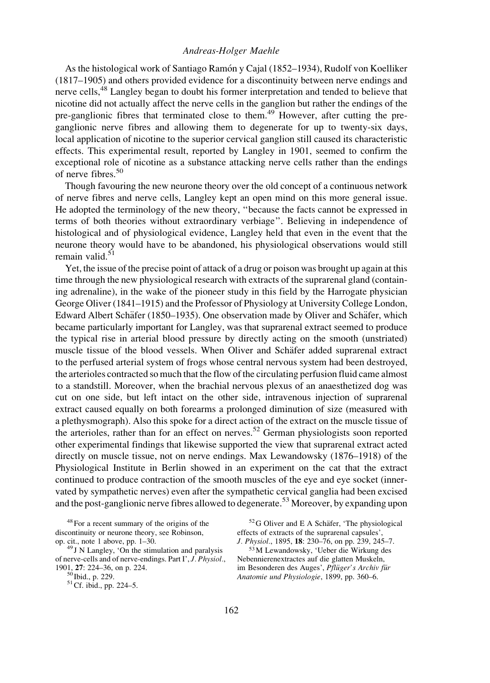As the histological work of Santiago Ramón y Cajal (1852–1934), Rudolf von Koelliker  $(1817-1905)$  and others provided evidence for a discontinuity between nerve endings and nerve cells,<sup>48</sup> Langley began to doubt his former interpretation and tended to believe that nicotine did not actually affect the nerve cells in the ganglion but rather the endings of the pre-ganglionic fibres that terminated close to them.<sup>49</sup> However, after cutting the preganglionic nerve fibres and allowing them to degenerate for up to twenty-six days, local application of nicotine to the superior cervical ganglion still caused its characteristic effects. This experimental result, reported by Langley in 1901, seemed to confirm the exceptional role of nicotine as a substance attacking nerve cells rather than the endings of nerve fibres.<sup>50</sup>

Though favouring the new neurone theory over the old concept of a continuous network of nerve fibres and nerve cells, Langley kept an open mind on this more general issue. He adopted the terminology of the new theory, "because the facts cannot be expressed in terms of both theories without extraordinary verbiage". Believing in independence of histological and of physiological evidence, Langley held that even in the event that the neurone theory would have to be abandoned, his physiological observations would still remain valid.<sup>5</sup>

Yet, the issue of the precise point of attack of a drug or poison was brought up again at this time through the new physiological research with extracts of the suprarenal gland (containing adrenaline), in the wake of the pioneer study in this field by the Harrogate physician George Oliver (1841–1915) and the Professor of Physiology at University College London, Edward Albert Schäfer (1850–1935). One observation made by Oliver and Schäfer, which became particularly important for Langley, was that suprarenal extract seemed to produce the typical rise in arterial blood pressure by directly acting on the smooth (unstriated) muscle tissue of the blood vessels. When Oliver and Schäfer added suprarenal extract to the perfused arterial system of frogs whose central nervous system had been destroyed, the arterioles contracted so much that the flow of the circulating perfusion fluid came almost to a standstill. Moreover, when the brachial nervous plexus of an anaesthetized dog was cut on one side, but left intact on the other side, intravenous injection of suprarenal extract caused equally on both forearms a prolonged diminution of size (measured with a plethysmograph). Also this spoke for a direct action of the extract on the muscle tissue of the arterioles, rather than for an effect on nerves.<sup>52</sup> German physiologists soon reported other experimental findings that likewise supported the view that suprarenal extract acted directly on muscle tissue, not on nerve endings. Max Lewandowsky (1876–1918) of the Physiological Institute in Berlin showed in an experiment on the cat that the extract continued to produce contraction of the smooth muscles of the eye and eye socket (innervated by sympathetic nerves) even after the sympathetic cervical ganglia had been excised and the post-ganglionic nerve fibres allowed to degenerate.<sup>53</sup> Moreover, by expanding upon

<sup>48</sup> For a recent summary of the origins of the discontinuity or neurone theory, see Robinson, op. cit., note 1 above, pp. 1-30.

 $^{49}$  J N Langley, 'On the stimulation and paralysis of nerve-cells and of nerve-endings. Part I', J. Physiol., 1901, 27: 224-36, on p. 224.

 $52$  G Oliver and E A Schäfer, 'The physiological effects of extracts of the suprarenal capsules', J. Physiol., 1895, 18: 230–76, on pp. 239, 245–7.

<sup>53</sup>M Lewandowsky, 'Ueber die Wirkung des Nebennierenextractes auf die glatten Muskeln, im Besonderen des Auges', Pflüger's Archiv für Anatomie und Physiologie, 1899, pp. 360-6.

<sup>&</sup>lt;sup>50</sup> Ibid., p. 229.

<sup>&</sup>lt;sup>51</sup> Cf. ibid., pp. 224-5.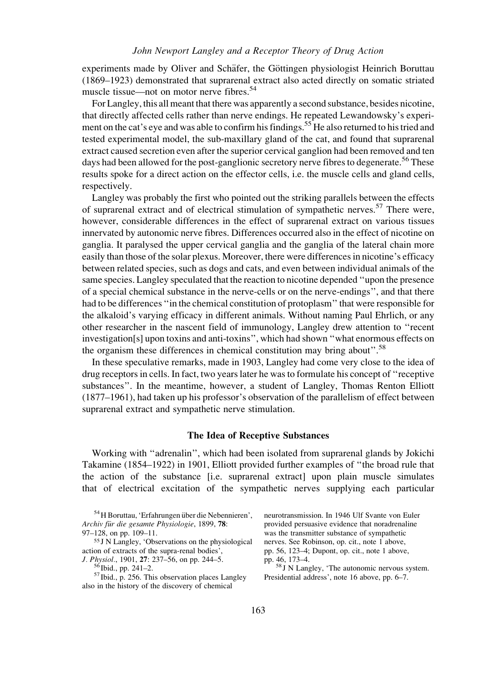experiments made by Oliver and Schäfer, the Göttingen physiologist Heinrich Boruttau (1869–1923) demonstrated that suprarenal extract also acted directly on somatic striated muscle tissue—not on motor nerve fibres.<sup>54</sup>

For Langley, this all meant that there was apparently a second substance, besides nicotine, that directly affected cells rather than nerve endings. He repeated Lewandowsky's experiment on the cat's eye and was able to confirm his findings.<sup>55</sup> He also returned to his tried and tested experimental model, the sub-maxillary gland of the cat, and found that suprarenal extract caused secretion even after the superior cervical ganglion had been removed and ten days had been allowed for the post-ganglionic secretory nerve fibres to degenerate.<sup>56</sup> These results spoke for a direct action on the effector cells, *i.e.* the muscle cells and gland cells, respectively.

Langley was probably the first who pointed out the striking parallels between the effects of suprarenal extract and of electrical stimulation of sympathetic nerves.<sup>57</sup> There were, however, considerable differences in the effect of suprarenal extract on various tissues innervated by autonomic nerve fibres. Differences occurred also in the effect of nicotine on ganglia. It paralysed the upper cervical ganglia and the ganglia of the lateral chain more easily than those of the solar plexus. Moreover, there were differences in nicotine's efficacy between related species, such as dogs and cats, and even between individual animals of the same species. Langley speculated that the reaction to nicotine depended "upon the presence" of a special chemical substance in the nerve-cells or on the nerve-endings", and that there had to be differences "in the chemical constitution of protoplasm" that were responsible for the alkaloid's varying efficacy in different animals. Without naming Paul Ehrlich, or any other researcher in the nascent field of immunology, Langley drew attention to "recent" investigation [s] upon toxins and anti-toxins", which had shown "what enormous effects on the organism these differences in chemical constitution may bring about".<sup>58</sup>

In these speculative remarks, made in 1903, Langley had come very close to the idea of drug receptors in cells. In fact, two years later he was to formulate his concept of "receptive" substances". In the meantime, however, a student of Langley, Thomas Renton Elliott  $(1877-1961)$ , had taken up his professor's observation of the parallelism of effect between suprarenal extract and sympathetic nerve stimulation.

### The Idea of Receptive Substances

Working with "adrenalin", which had been isolated from suprarenal glands by Jokichi Takamine (1854–1922) in 1901, Elliott provided further examples of "the broad rule that the action of the substance [i.e. suprarenal extract] upon plain muscle simulates that of electrical excitation of the sympathetic nerves supplying each particular

neurotransmission. In 1946 Ulf Svante von Euler provided persuasive evidence that noradrenaline was the transmitter substance of sympathetic nerves. See Robinson, op. cit., note 1 above,

<sup>&</sup>lt;sup>54</sup> H Boruttau, 'Erfahrungen über die Nebennieren', Archiv für die gesamte Physiologie, 1899, 78: 97-128, on pp. 109-11.

<sup>&</sup>lt;sup>55</sup> J N Langley, 'Observations on the physiological action of extracts of the supra-renal bodies', J. Physiol., 1901, 27: 237–56, on pp. 244–5.

<sup>&</sup>lt;sup>56</sup>Ibid., pp. 241-2.

<sup>&</sup>lt;sup>57</sup> Ibid., p. 256. This observation places Langley also in the history of the discovery of chemical

pp. 56, 123–4; Dupont, op. cit., note 1 above,

pp. 46, 173-4.

<sup>&</sup>lt;sup>58</sup>J N Langley, 'The autonomic nervous system. Presidential address', note 16 above, pp. 6–7.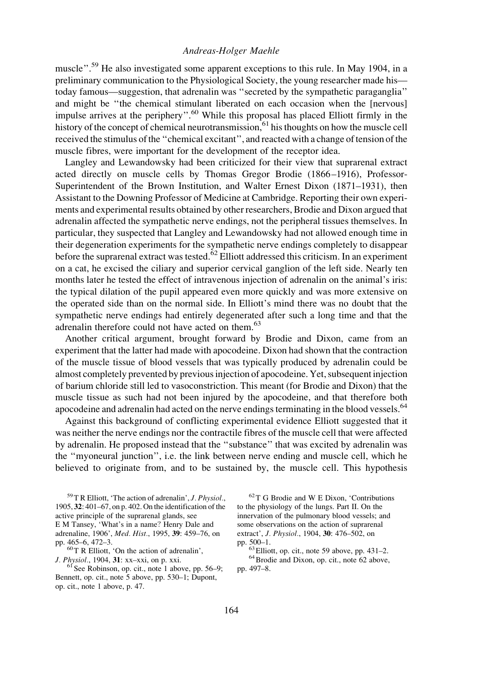muscle".<sup>59</sup> He also investigated some apparent exceptions to this rule. In May 1904, in a preliminary communication to the Physiological Society, the young researcher made his today famous—suggestion, that adrenalin was "secreted by the sympathetic paraganglia" and might be "the chemical stimulant liberated on each occasion when the [nervous] impulse arrives at the periphery".<sup>60</sup> While this proposal has placed Elliott firmly in the history of the concept of chemical neurotransmission,<sup>61</sup> his thoughts on how the muscle cell received the stimulus of the "chemical excitant", and reacted with a change of tension of the muscle fibres, were important for the development of the receptor idea.

Langley and Lewandowsky had been criticized for their view that suprarenal extract acted directly on muscle cells by Thomas Gregor Brodie (1866–1916), Professor-Superintendent of the Brown Institution, and Walter Ernest Dixon (1871–1931), then Assistant to the Downing Professor of Medicine at Cambridge. Reporting their own experiments and experimental results obtained by other researchers, Brodie and Dixon argued that adrenalin affected the sympathetic nerve endings, not the peripheral tissues themselves. In particular, they suspected that Langley and Lewandowsky had not allowed enough time in their degeneration experiments for the sympathetic nerve endings completely to disappear before the suprarenal extract was tested.<sup> $62$ </sup> Elliott addressed this criticism. In an experiment on a cat, he excised the ciliary and superior cervical ganglion of the left side. Nearly ten months later he tested the effect of intravenous injection of adrenalin on the animal's iris: the typical dilation of the pupil appeared even more quickly and was more extensive on the operated side than on the normal side. In Elliott's mind there was no doubt that the sympathetic nerve endings had entirely degenerated after such a long time and that the adrenalin therefore could not have acted on them.<sup>63</sup>

Another critical argument, brought forward by Brodie and Dixon, came from an experiment that the latter had made with apocodeine. Dixon had shown that the contraction of the muscle tissue of blood vessels that was typically produced by adrenalin could be almost completely prevented by previous injection of apocodeine. Yet, subsequent injection of barium chloride still led to vasoconstriction. This meant (for Brodie and Dixon) that the muscle tissue as such had not been injured by the apocodeine, and that therefore both apocodeine and adrenalin had acted on the nerve endings terminating in the blood vessels.<sup>64</sup>

Against this background of conflicting experimental evidence Elliott suggested that it was neither the nerve endings nor the contractile fibres of the muscle cell that were affected by adrenalin. He proposed instead that the "substance" that was excited by adrenalin was the "myoneural junction", i.e. the link between nerve ending and muscle cell, which he believed to originate from, and to be sustained by, the muscle cell. This hypothesis

<sup>59</sup>T R Elliott, 'The action of adrenalin', *J. Physiol.*, 1905, 32: 401-67, on p. 402. On the identification of the active principle of the suprarenal glands, see E M Tansey, 'What's in a name? Henry Dale and adrenaline, 1906', Med. Hist., 1995, 39: 459-76, on pp. 465-6, 472-3.

<sup>60</sup>T R Elliott, 'On the action of adrenalin', J. Physiol., 1904, 31: xx-xxi, on p. xxi.

<sup>62</sup>T G Brodie and W E Dixon, 'Contributions to the physiology of the lungs. Part II. On the innervation of the pulmonary blood vessels; and some observations on the action of suprarenal extract', *J. Physiol.*, 1904, 30: 476–502, on pp. 500-1.

 $63$  Elliott, op. cit., note 59 above, pp. 431-2. <sup>64</sup> Brodie and Dixon, op. cit., note 62 above, pp. 497-8.

<sup>&</sup>lt;sup>61</sup> See Robinson, op. cit., note 1 above, pp. 56–9; Bennett, op. cit., note 5 above, pp. 530–1; Dupont, op. cit., note 1 above, p. 47.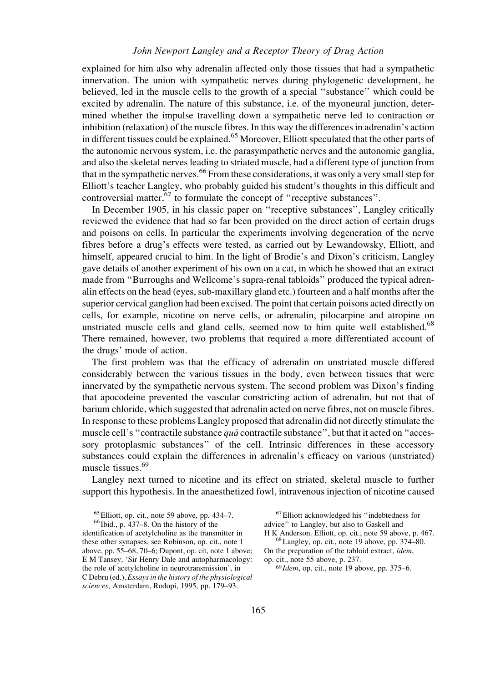explained for him also why adrenalin affected only those tissues that had a sympathetic innervation. The union with sympathetic nerves during phylogenetic development, he believed, led in the muscle cells to the growth of a special "substance" which could be excited by adrenalin. The nature of this substance, i.e. of the myoneural junction, determined whether the impulse travelling down a sympathetic nerve led to contraction or inhibition (relaxation) of the muscle fibres. In this way the differences in adrenal in's action in different tissues could be explained.<sup>65</sup> Moreover, Elliott speculated that the other parts of the autonomic nervous system, i.e. the parasympathetic nerves and the autonomic ganglia, and also the skeletal nerves leading to striated muscle, had a different type of junction from that in the sympathetic nerves.<sup>66</sup> From these considerations, it was only a very small step for Elliott's teacher Langley, who probably guided his student's thoughts in this difficult and controversial matter,  $67$  to formulate the concept of "receptive substances".

In December 1905, in his classic paper on "receptive substances", Langley critically reviewed the evidence that had so far been provided on the direct action of certain drugs and poisons on cells. In particular the experiments involving degeneration of the nerve fibres before a drug's effects were tested, as carried out by Lewandowsky, Elliott, and himself, appeared crucial to him. In the light of Brodie's and Dixon's criticism, Langley gave details of another experiment of his own on a cat, in which he showed that an extract made from "Burroughs and Wellcome's supra-renal tabloids" produced the typical adrenaline freeds on the head (eyes, sub-maxillary gland etc.) fourteen and a half months after the superior cervical ganglion had been excised. The point that certain poisons acted directly on cells, for example, nicotine on nerve cells, or adrenalin, pilocarpine and atropine on unstriated muscle cells and gland cells, seemed now to him quite well established.<sup>68</sup> There remained, however, two problems that required a more differentiated account of the drugs' mode of action.

The first problem was that the efficacy of adrenalin on unstriated muscle differed considerably between the various tissues in the body, even between tissues that were innervated by the sympathetic nervous system. The second problem was Dixon's finding that apocodeine prevented the vascular constricting action of adrenalin, but not that of barium chloride, which suggested that adrenal in acted on nerve fibres, not on muscle fibres. In response to these problems Langley proposed that adrenal in did not directly stimulate the muscle cell's "contractile substance quâ contractile substance", but that it acted on "accessory protoplasmic substances" of the cell. Intrinsic differences in these accessory substances could explain the differences in adrenalin's efficacy on various (unstriated) muscle tissues.<sup>69</sup>

Langley next turned to nicotine and its effect on striated, skeletal muscle to further support this hypothesis. In the anaesthetized fowl, intravenous injection of nicotine caused

 $<sup>65</sup>$  Elliott, op. cit., note 59 above, pp. 434-7.</sup>

 $66$  Ibid., p.  $437-8$ . On the history of the

<sup>67</sup>Elliott acknowledged his "indebtedness for advice" to Langley, but also to Gaskell and H K Anderson. Elliott, op. cit., note 59 above, p. 467.

identification of acetylcholine as the transmitter in these other synapses, see Robinson, op. cit., note 1 above, pp.  $55-68$ ,  $70-6$ ; Dupont, op. cit, note 1 above; E M Tansey, 'Sir Henry Dale and autopharmacology: the role of acetylcholine in neurotransmission', in C Debru (ed.), Essays in the history of the physiological sciences, Amsterdam, Rodopi, 1995, pp. 179-93.

 $^{68}$ Langley, op. cit., note 19 above, pp. 374-80. On the preparation of the tabloid extract, idem,

op. cit., note 55 above, p. 237.

69 Idem, op. cit., note 19 above, pp. 375–6.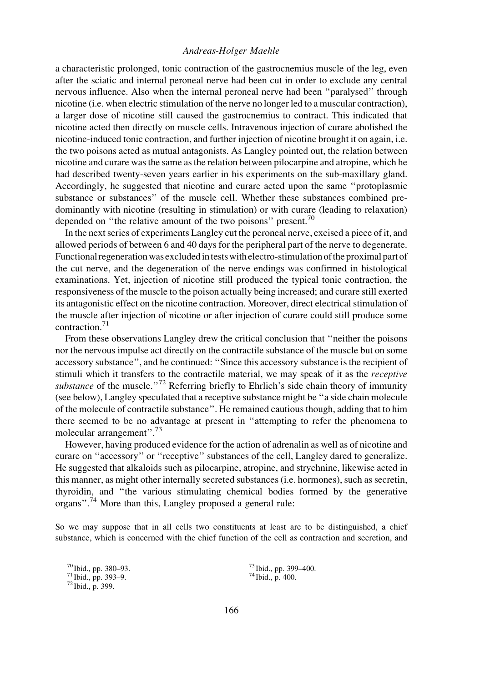a characteristic prolonged, tonic contraction of the gastrocnemius muscle of the leg, even after the sciatic and internal peroneal nerve had been cut in order to exclude any central nervous influence. Also when the internal peroneal nerve had been "paralysed" through nicotine (i.e. when electric stimulation of the nerve no longer led to a muscular contraction), a larger dose of nicotine still caused the gastrocnemius to contract. This indicated that nicotine acted then directly on muscle cells. Intravenous injection of curare abolished the nicotine-induced tonic contraction, and further injection of nicotine brought it on again, i.e. the two poisons acted as mutual antagonists. As Langley pointed out, the relation between nicotine and curare was the same as the relation between pilocarpine and atropine, which he had described twenty-seven years earlier in his experiments on the sub-maxillary gland. Accordingly, he suggested that nicotine and curare acted upon the same "protoplasmic substance or substances" of the muscle cell. Whether these substances combined predominantly with nicotine (resulting in stimulation) or with curare (leading to relaxation) depended on "the relative amount of the two poisons" present.<sup>70</sup>

In the next series of experiments Langley cut the peroneal nerve, excised a piece of it, and allowed periods of between 6 and 40 days for the peripheral part of the nerve to degenerate. Functional regeneration was excluded in tests with electro-stimulation of the proximal part of the cut nerve, and the degeneration of the nerve endings was confirmed in histological examinations. Yet, injection of nicotine still produced the typical tonic contraction, the responsiveness of the muscle to the poison actually being increased; and curare still exerted its antagonistic effect on the nicotine contraction. Moreover, direct electrical stimulation of the muscle after injection of nicotine or after injection of curare could still produce some contraction. $71$ 

From these observations Langley drew the critical conclusion that "neither the poisons" nor the nervous impulse act directly on the contractile substance of the muscle but on some accessory substance", and he continued: "Since this accessory substance is the recipient of stimuli which it transfers to the contractile material, we may speak of it as the *receptive substance* of the muscle."<sup>72</sup> Referring briefly to Ehrlich's side chain theory of immunity (see below), Langley speculated that a receptive substance might be "a side chain molecule of the molecule of contractile substance". He remained cautious though, adding that to him there seemed to be no advantage at present in "attempting to refer the phenomena to molecular arrangement".<sup>73</sup>

However, having produced evidence for the action of adrenalin as well as of nicotine and curare on "accessory" or "receptive" substances of the cell, Langley dared to generalize. He suggested that alkaloids such as pilocarpine, atropine, and strychnine, likewise acted in this manner, as might other internally secreted substances (i.e. hormones), such as secretin, thyroidin, and "the various stimulating chemical bodies formed by the generative organs".<sup>74</sup> More than this, Langley proposed a general rule:

So we may suppose that in all cells two constituents at least are to be distinguished, a chief substance, which is concerned with the chief function of the cell as contraction and secretion, and

70 Ibid., pp. 380-93.  $^{71}$  Ibid., pp. 393–9.<br> $^{72}$  Ibid., p. 399.

73 Ibid., pp. 399-400.  $74$  Ibid., p. 400.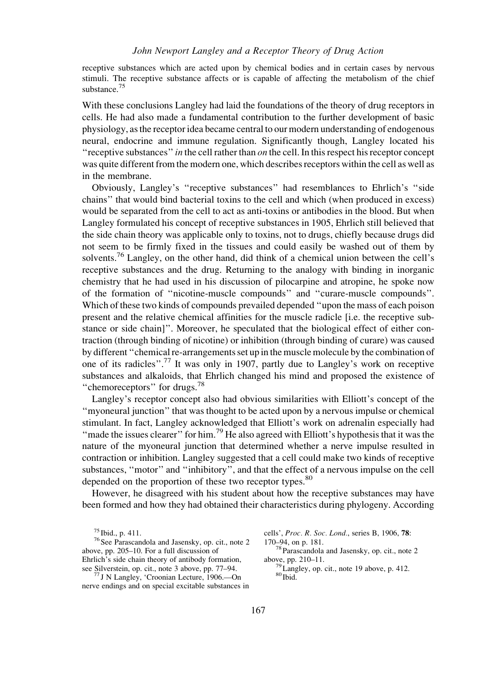receptive substances which are acted upon by chemical bodies and in certain cases by nervous stimuli. The receptive substance affects or is capable of affecting the metabolism of the chief substance.<sup>75</sup>

With these conclusions Langley had laid the foundations of the theory of drug receptors in cells. He had also made a fundamental contribution to the further development of basic physiology, as the receptor idea became central to our modern understanding of endogenous neural, endocrine and immune regulation. Significantly though, Langley located his "receptive substances" in the cell rather than on the cell. In this respect his receptor concept was quite different from the modern one, which describes receptors within the cell as well as in the membrane.

Obviously, Langley's "receptive substances" had resemblances to Ehrlich's "side chains" that would bind bacterial toxins to the cell and which (when produced in excess) would be separated from the cell to act as anti-toxins or antibodies in the blood. But when Langley formulated his concept of receptive substances in 1905, Ehrlich still believed that the side chain theory was applicable only to toxins, not to drugs, chiefly because drugs did not seem to be firmly fixed in the tissues and could easily be washed out of them by solvents.<sup>76</sup> Langley, on the other hand, did think of a chemical union between the cell's receptive substances and the drug. Returning to the analogy with binding in inorganic chemistry that he had used in his discussion of pilocarpine and atropine, he spoke now of the formation of "nicotine-muscle compounds" and "curare-muscle compounds". Which of these two kinds of compounds prevailed depended "upon the mass of each poison present and the relative chemical affinities for the muscle radicle [i.e. the receptive substance or side chain]". Moreover, he speculated that the biological effect of either contraction (through binding of nicotine) or inhibition (through binding of curare) was caused by different "chemical re-arrangements set up in the muscle molecule by the combination of one of its radicles".<sup>77</sup> It was only in 1907, partly due to Langley's work on receptive substances and alkaloids, that Ehrlich changed his mind and proposed the existence of "chemoreceptors" for drugs.<sup>78</sup>

Langley's receptor concept also had obvious similarities with Elliott's concept of the "myoneural junction" that was thought to be acted upon by a nervous impulse or chemical stimulant. In fact, Langley acknowledged that Elliott's work on adrenalin especially had "made the issues clearer" for him.<sup>79</sup> He also agreed with Elliott's hypothesis that it was the nature of the myoneural junction that determined whether a nerve impulse resulted in contraction or inhibition. Langley suggested that a cell could make two kinds of receptive substances, "motor" and "inhibitory", and that the effect of a nervous impulse on the cell depended on the proportion of these two receptor types.<sup>80</sup>

However, he disagreed with his student about how the receptive substances may have been formed and how they had obtained their characteristics during phylogeny. According

77 J N Langley, 'Croonian Lecture, 1906.-- On nerve endings and on special excitable substances in cells', Proc. R. Soc. Lond., series B, 1906, 78: 170-94, on p. 181.

<sup>78</sup> Parascandola and Jasensky, op. cit., note 2 above, pp. 210–11.<br> $^{79}$ Langley, op. cit., note 19 above, p. 412.

 $^{80}\rm{Ibid.}$ 

 $^{75}$  Ibid., p. 411.

<sup>&</sup>lt;sup>76</sup> See Parascandola and Jasensky, op. cit., note 2 above, pp. 205–10. For a full discussion of Ehrlich's side chain theory of antibody formation, see Silverstein, op. cit., note 3 above, pp. 77-94.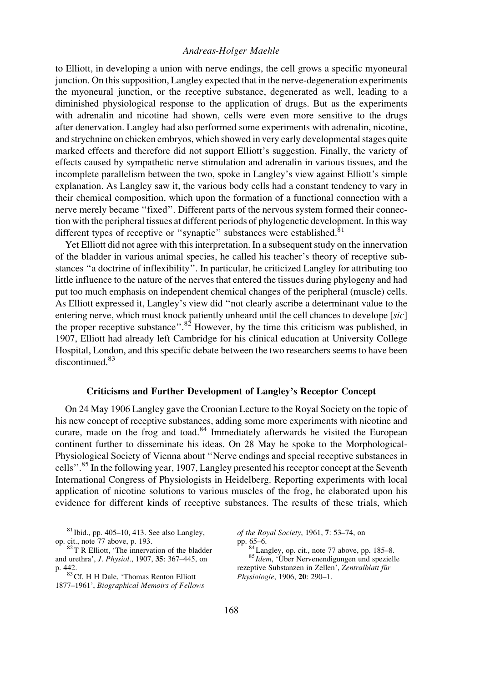to Elliott, in developing a union with nerve endings, the cell grows a specific myoneural junction. On this supposition, Langley expected that in the nerve-degeneration experiments the myoneural junction, or the receptive substance, degenerated as well, leading to a diminished physiological response to the application of drugs. But as the experiments with adrenalin and nicotine had shown, cells were even more sensitive to the drugs after denervation. Langley had also performed some experiments with adrenalin, nicotine, and strychnine on chicken embryos, which showed in very early developmental stages quite marked effects and therefore did not support Elliott's suggestion. Finally, the variety of effects caused by sympathetic nerve stimulation and adrenalin in various tissues, and the incomplete parallelism between the two, spoke in Langley's view against Elliott's simple explanation. As Langley saw it, the various body cells had a constant tendency to vary in their chemical composition, which upon the formation of a functional connection with a nerve merely became "fixed". Different parts of the nervous system formed their connection with the peripheral tissues at different periods of phylogenetic development. In this way different types of receptive or "synaptic" substances were established.<sup>81</sup>

Yet Elliott did not agree with this interpretation. In a subsequent study on the innervation of the bladder in various animal species, he called his teacher's theory of receptive substances "a doctrine of inflexibility". In particular, he criticized Langley for attributing too little influence to the nature of the nerves that entered the tissues during phylogeny and had put too much emphasis on independent chemical changes of the peripheral (muscle) cells. As Elliott expressed it, Langley's view did "not clearly ascribe a determinant value to the entering nerve, which must knock patiently unheard until the cell chances to develope [sic] the proper receptive substance".<sup>82</sup> However, by the time this criticism was published, in 1907, Elliott had already left Cambridge for his clinical education at University College Hospital, London, and this specific debate between the two researchers seems to have been discontinued.<sup>83</sup>

#### **Criticisms and Further Development of Langley's Receptor Concept**

On 24 May 1906 Langley gave the Croonian Lecture to the Royal Society on the topic of his new concept of receptive substances, adding some more experiments with nicotine and curare, made on the frog and toad.<sup>84</sup> Immediately afterwards he visited the European continent further to disseminate his ideas. On 28 May he spoke to the Morphological-Physiological Society of Vienna about "Nerve endings and special receptive substances in cells".<sup>85</sup> In the following year, 1907, Langley presented his receptor concept at the Seventh International Congress of Physiologists in Heidelberg. Reporting experiments with local application of nicotine solutions to various muscles of the frog, he elaborated upon his evidence for different kinds of receptive substances. The results of these trials, which

 $81$  Ibid., pp. 405–10, 413. See also Langley, op. cit., note 77 above, p. 193.

 $82$  T R Elliott, 'The innervation of the bladder and urethra', J. Physiol., 1907, 35: 367-445, on p. 442

<sup>83</sup> Cf. H H Dale, 'Thomas Renton Elliott 1877-1961', Biographical Memoirs of Fellows of the Royal Society, 1961, 7: 53-74, on pp. 65-6.

 $84$  Langley, op. cit., note 77 above, pp. 185–8. <sup>85</sup> Idem, 'Über Nervenendigungen und spezielle rezeptive Substanzen in Zellen', Zentralblatt für Physiologie, 1906, 20: 290-1.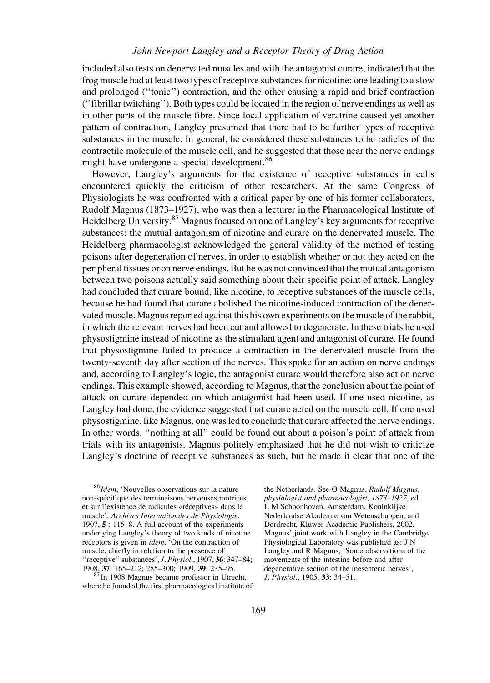included also tests on denervated muscles and with the antagonist curare, indicated that the frog muscle had at least two types of receptive substances for nicotine: one leading to a slow and prolonged ("tonic") contraction, and the other causing a rapid and brief contraction ("fibrillar twitching"). Both types could be located in the region of nerve endings as well as in other parts of the muscle fibre. Since local application of veratrine caused yet another pattern of contraction, Langley presumed that there had to be further types of receptive substances in the muscle. In general, he considered these substances to be radicles of the contractile molecule of the muscle cell, and he suggested that those near the nerve endings might have undergone a special development.<sup>86</sup>

However, Langley's arguments for the existence of receptive substances in cells encountered quickly the criticism of other researchers. At the same Congress of Physiologists he was confronted with a critical paper by one of his former collaborators, Rudolf Magnus (1873–1927), who was then a lecturer in the Pharmacological Institute of Heidelberg University.<sup>87</sup> Magnus focused on one of Langley's key arguments for receptive substances: the mutual antagonism of nicotine and curare on the denervated muscle. The Heidelberg pharmacologist acknowledged the general validity of the method of testing poisons after degeneration of nerves, in order to establish whether or not they acted on the peripheral tissues or on nerve endings. But he was not convinced that the mutual antagonism between two poisons actually said something about their specific point of attack. Langley had concluded that curare bound, like nicotine, to receptive substances of the muscle cells, because he had found that curare abolished the nicotine-induced contraction of the denervated muscle. Magnus reported against this his own experiments on the muscle of the rabbit, in which the relevant nerves had been cut and allowed to degenerate. In these trials he used physostigmine instead of nicotine as the stimulant agent and antagonist of curare. He found that physostigmine failed to produce a contraction in the denervated muscle from the twenty-seventh day after section of the nerves. This spoke for an action on nerve endings and, according to Langley's logic, the antagonist curare would therefore also act on nerve endings. This example showed, according to Magnus, that the conclusion about the point of attack on curare depended on which antagonist had been used. If one used nicotine, as Langley had done, the evidence suggested that curare acted on the muscle cell. If one used physostigmine, like Magnus, one was led to conclude that curare affected the nerve endings. In other words, "nothing at all" could be found out about a poison's point of attack from trials with its antagonists. Magnus politely emphasized that he did not wish to criticize Langley's doctrine of receptive substances as such, but he made it clear that one of the

<sup>86</sup>Idem, 'Nouvelles observations sur la nature non-spécifique des terminaisons nerveuses motrices et sur l'existence de radicules «réceptives» dans le muscle', Archives Internationales de Physiologie, 1907,  $5:115-8$ . A full account of the experiments underlying Langley's theory of two kinds of nicotine receptors is given in *idem*, 'On the contraction of muscle, chiefly in relation to the presence of "receptive" substances', J. Physiol., 1907, 36: 347-84; 1908, 37: 165-212; 285-300; 1909, 39: 235-95.

<sup>87</sup> In 1908 Magnus became professor in Utrecht, where he founded the first pharmacological institute of the Netherlands. See O Magnus, Rudolf Magnus, physiologist and pharmacologist, 1873-1927, ed. L M Schoonhoven, Amsterdam, Koninklijke Nederlandse Akademie van Wetenschappen, and Dordrecht, Kluwer Academic Publishers, 2002. Magnus' joint work with Langley in the Cambridge Physiological Laboratory was published as: J N Langley and R Magnus, 'Some observations of the movements of the intestine before and after degenerative section of the mesenteric nerves', J. Physiol., 1905, 33: 34-51.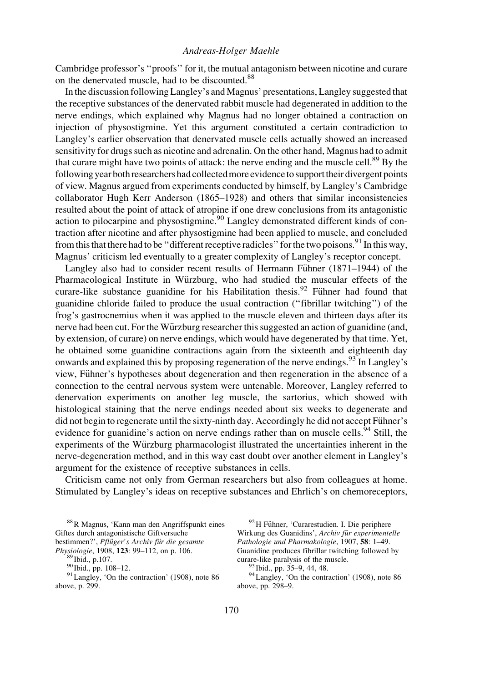Cambridge professor's "proofs" for it, the mutual antagonism between nicotine and curare on the denervated muscle, had to be discounted.<sup>88</sup>

In the discussion following Langley's and Magnus' presentations, Langley suggested that the receptive substances of the denervated rabbit muscle had degenerated in addition to the nerve endings, which explained why Magnus had no longer obtained a contraction on injection of physostigmine. Yet this argument constituted a certain contradiction to Langley's earlier observation that denervated muscle cells actually showed an increased sensitivity for drugs such as nicotine and adrenal in. On the other hand, Magnus had to admit that curare might have two points of attack: the nerve ending and the muscle cell.<sup>89</sup> By the following year both researchers had collected more evidence to support their divergent points of view. Magnus argued from experiments conducted by himself, by Langley's Cambridge collaborator Hugh Kerr Anderson (1865–1928) and others that similar inconsistencies resulted about the point of attack of atropine if one drew conclusions from its antagonistic action to pilocarpine and physostigmine.<sup>90</sup> Langley demonstrated different kinds of contraction after nicotine and after physostigmine had been applied to muscle, and concluded from this that there had to be "different receptive radicles" for the two poisons.<sup>91</sup> In this way, Magnus' criticism led eventually to a greater complexity of Langley's receptor concept.

Langley also had to consider recent results of Hermann Fühner (1871–1944) of the Pharmacological Institute in Würzburg, who had studied the muscular effects of the curare-like substance guanidine for his Habilitation thesis.<sup>92</sup> Fühner had found that guanidine chloride failed to produce the usual contraction ("fibrillar twitching") of the frog's gastrocnemius when it was applied to the muscle eleven and thirteen days after its nerve had been cut. For the Würzburg researcher this suggested an action of guanidine (and, by extension, of curare) on nerve endings, which would have degenerated by that time. Yet, he obtained some guanidine contractions again from the sixteenth and eighteenth day onwards and explained this by proposing regeneration of the nerve endings.<sup>93</sup> In Langley's view, Fühner's hypotheses about degeneration and then regeneration in the absence of a connection to the central nervous system were untenable. Moreover, Langley referred to denervation experiments on another leg muscle, the sartorius, which showed with histological staining that the nerve endings needed about six weeks to degenerate and did not begin to regenerate until the sixty-ninth day. Accordingly he did not accept Fühner's evidence for guanidine's action on nerve endings rather than on muscle cells.<sup>94</sup> Still, the experiments of the Würzburg pharmacologist illustrated the uncertainties inherent in the nerve-degeneration method, and in this way cast doubt over another element in Langley's argument for the existence of receptive substances in cells.

Criticism came not only from German researchers but also from colleagues at home. Stimulated by Langley's ideas on receptive substances and Ehrlich's on chemoreceptors,

bestimmen?', Pflüger's Archiv für die gesamte

Physiologie, 1908, 123: 99-112, on p. 106.

<sup>94</sup> Langley, 'On the contraction' (1908), note 86 above, pp. 298-9.

<sup>&</sup>lt;sup>88</sup>R Magnus, 'Kann man den Angriffspunkt eines Giftes durch antagonistische Giftversuche

<sup>89</sup> Ibid., p.107.

<sup>&</sup>lt;sup>90</sup> Ibid., pp. 108-12.

<sup>&</sup>lt;sup>91</sup> Langley, 'On the contraction' (1908), note 86 above, p. 299.

 $92$  H Fühner, 'Curarestudien. I. Die periphere Wirkung des Guanidins', Archiv für experimentelle Pathologie und Pharmakologie, 1907, 58: 1-49. Guanidine produces fibrillar twitching followed by curare-like paralysis of the muscle.

<sup>&</sup>lt;sup>93</sup> Ibid., pp. 35–9, 44, 48.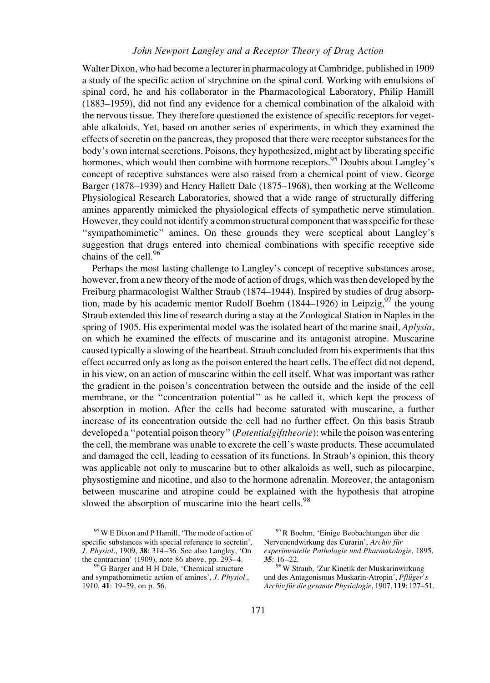Walter Dixon, who had become a lecturer in pharmacology at Cambridge, published in 1909 a study of the specific action of strychnine on the spinal cord. Working with emulsions of spinal cord, he and his collaborator in the Pharmacological Laboratory, Philip Hamill (1883–1959), did not find any evidence for a chemical combination of the alkaloid with the nervous tissue. They therefore questioned the existence of specific receptors for vegetable alkaloids. Yet, based on another series of experiments, in which they examined the effects of secretin on the pancreas, they proposed that there were receptor substances for the body's own internal secretions. Poisons, they hypothesized, might act by liberating specific hormones, which would then combine with hormone receptors.<sup>95</sup> Doubts about Langley's concept of receptive substances were also raised from a chemical point of view. George Barger (1878–1939) and Henry Hallett Dale (1875–1968), then working at the Wellcome Physiological Research Laboratories, showed that a wide range of structurally differing amines apparently mimicked the physiological effects of sympathetic nerve stimulation. However, they could not identify a common structural component that was specific for these "sympathomimetic" amines. On these grounds they were sceptical about Langley's suggestion that drugs entered into chemical combinations with specific receptive side chains of the cell.<sup>96</sup>

Perhaps the most lasting challenge to Langley's concept of receptive substances arose, however, from a new theory of the mode of action of drugs, which was then developed by the Freiburg pharmacologist Walther Straub (1874–1944). Inspired by studies of drug absorption, made by his academic mentor Rudolf Boehm (1844–1926) in Leipzig, <sup>97</sup> the voung Straub extended this line of research during a stay at the Zoological Station in Naples in the spring of 1905. His experimental model was the isolated heart of the marine snail, *Aplysia*, on which he examined the effects of muscarine and its antagonist atropine. Muscarine caused typically a slowing of the heartbeat. Straub concluded from his experiments that this effect occurred only as long as the poison entered the heart cells. The effect did not depend, in his view, on an action of muscarine within the cell itself. What was important was rather the gradient in the poison's concentration between the outside and the inside of the cell membrane, or the "concentration potential" as he called it, which kept the process of absorption in motion. After the cells had become saturated with muscarine, a further increase of its concentration outside the cell had no further effect. On this basis Straub developed a "potential poison theory" (Potential giftheorie): while the poison was entering the cell, the membrane was unable to excrete the cell's waste products. These accumulated and damaged the cell, leading to cessation of its functions. In Straub's opinion, this theory was applicable not only to muscarine but to other alkaloids as well, such as pilocarpine, physostigmine and nicotine, and also to the hormone adrenalin. Moreover, the antagonism between muscarine and atropine could be explained with the hypothesis that atropine slowed the absorption of muscarine into the heart cells.<sup>98</sup>

<sup>97</sup>R Boehm, 'Einige Beobachtungen über die Nervenendwirkung des Curarin', Archiv für experimentelle Pathologie und Pharmakologie, 1895,  $35:16 - 22.$ 

 $^{98}$  W Straub, 'Zur Kinetik der Muskarinwirkung und des Antagonismus Muskarin-Atropin', Pflüger's Archiv für die gesamte Physiologie, 1907, 119: 127-51.

 $95$  W E Dixon and P Hamill. 'The mode of action of specific substances with special reference to secretin', J. Physiol., 1909, 38: 314–36. See also Langley, 'On the contraction' (1909), note 86 above, pp. 293–4.

<sup>&</sup>lt;sup>96</sup>G Barger and H H Dale, 'Chemical structure and sympathomimetic action of amines', J. Physiol., 1910, 41: 19-59, on p. 56.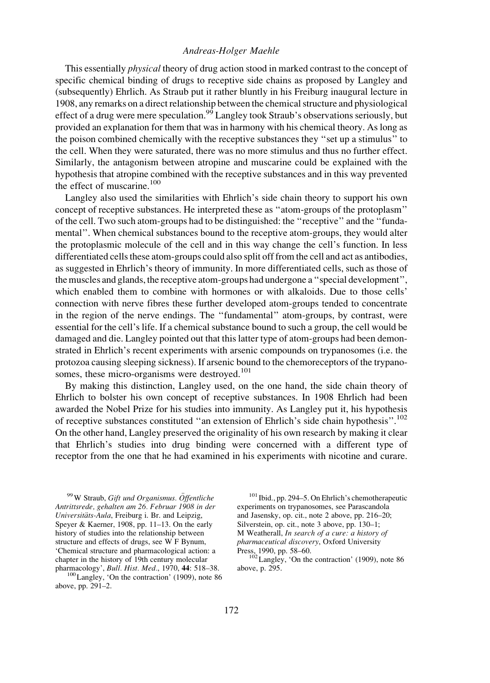This essentially *physical* theory of drug action stood in marked contrast to the concept of specific chemical binding of drugs to receptive side chains as proposed by Langley and (subsequently) Ehrlich. As Straub put it rather bluntly in his Freiburg inaugural lecture in 1908, any remarks on a direct relationship between the chemical structure and physiological effect of a drug were mere speculation.<sup>99</sup> Langley took Straub's observations seriously, but provided an explanation for them that was in harmony with his chemical theory. As long as the poison combined chemically with the receptive substances they "set up a stimulus" to the cell. When they were saturated, there was no more stimulus and thus no further effect. Similarly, the antagonism between atropine and muscarine could be explained with the hypothesis that atropine combined with the receptive substances and in this way prevented the effect of muscarine.<sup>100</sup>

Langley also used the similarities with Ehrlich's side chain theory to support his own concept of receptive substances. He interpreted these as "atom-groups of the protoplasm" of the cell. Two such atom-groups had to be distinguished: the "receptive" and the "fundamental". When chemical substances bound to the receptive atom-groups, they would alter the protoplasmic molecule of the cell and in this way change the cell's function. In less differentiated cells these atom-groups could also split off from the cell and act as antibodies, as suggested in Ehrlich's theory of immunity. In more differentiated cells, such as those of the muscles and glands, the receptive atom-groups had undergone a "special development", which enabled them to combine with hormones or with alkaloids. Due to those cells' connection with nerve fibres these further developed atom-groups tended to concentrate in the region of the nerve endings. The "fundamental" atom-groups, by contrast, were essential for the cell's life. If a chemical substance bound to such a group, the cell would be damaged and die. Langley pointed out that this latter type of atom-groups had been demonstrated in Ehrlich's recent experiments with arsenic compounds on trypanosomes (i.e. the protozoa causing sleeping sickness). If arsenic bound to the chemoreceptors of the trypanosomes, these micro-organisms were destroyed.<sup>101</sup>

By making this distinction, Langley used, on the one hand, the side chain theory of Ehrlich to bolster his own concept of receptive substances. In 1908 Ehrlich had been awarded the Nobel Prize for his studies into immunity. As Langley put it, his hypothesis of receptive substances constituted "an extension of Ehrlich's side chain hypothesis".<sup>102</sup> On the other hand, Langley preserved the originality of his own research by making it clear that Ehrlich's studies into drug binding were concerned with a different type of receptor from the one that he had examined in his experiments with nicotine and curare.

<sup>99</sup>W Straub, Gift und Organismus. Öffentliche Antrittsrede, gehalten am 26. Februar 1908 in der Universitäts-Aula, Freiburg i. Br. and Leipzig, Speyer & Kaerner, 1908, pp. 11-13. On the early history of studies into the relationship between structure and effects of drugs, see W F Bynum, 'Chemical structure and pharmacological action: a chapter in the history of 19th century molecular pharmacology', Bull. Hist. Med., 1970, 44: 518-38.

<sup>100</sup>Langley, 'On the contraction' (1909), note 86 above, pp. 291-2.

 $101$  Ibid., pp. 294–5. On Ehrlich's chemotherapeutic experiments on trypanosomes, see Parascandola and Jasensky, op. cit., note 2 above, pp. 216-20; Silverstein, op. cit., note 3 above, pp. 130-1; M Weatherall, In search of a cure: a history of pharmaceutical discovery, Oxford University Press, 1990, pp. 58-60.

 $10^{2}$  Langley, 'On the contraction' (1909), note 86 above, p. 295.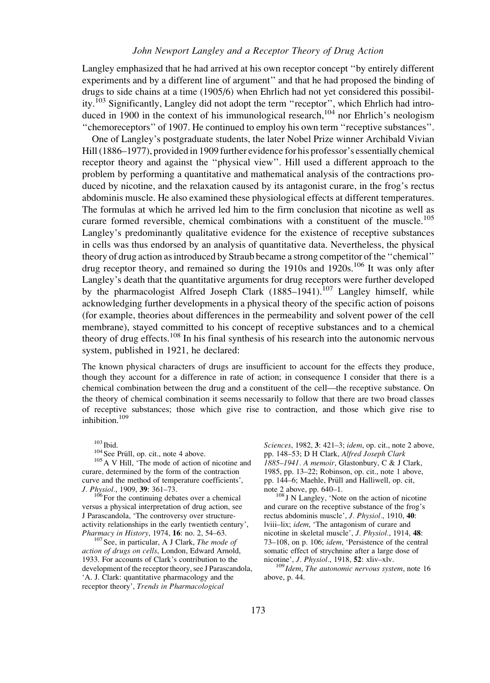Langley emphasized that he had arrived at his own receptor concept "by entirely different" experiments and by a different line of argument" and that he had proposed the binding of drugs to side chains at a time (1905/6) when Ehrlich had not yet considered this possibility.<sup>103</sup> Significantly, Langley did not adopt the term "receptor", which Ehrlich had introduced in 1900 in the context of his immunological research,  $104$  nor Ehrlich's neologism "chemoreceptors" of 1907. He continued to employ his own term "receptive substances".

One of Langley's postgraduate students, the later Nobel Prize winner Archibald Vivian Hill (1886–1977), provided in 1909 further evidence for his professor's essentially chemical receptor theory and against the "physical view". Hill used a different approach to the problem by performing a quantitative and mathematical analysis of the contractions produced by nicotine, and the relaxation caused by its antagonist curare, in the frog's rectus abdominis muscle. He also examined these physiological effects at different temperatures. The formulas at which he arrived led him to the firm conclusion that nicotine as well as curare formed reversible, chemical combinations with a constituent of the muscle.<sup>105</sup> Langley's predominantly qualitative evidence for the existence of receptive substances in cells was thus endorsed by an analysis of quantitative data. Nevertheless, the physical theory of drug action as introduced by Straub became a strong competitor of the "chemical" drug receptor theory, and remained so during the 1910s and 1920s.<sup>106</sup> It was only after Langley's death that the quantitative arguments for drug receptors were further developed by the pharmacologist Alfred Joseph Clark (1885–1941).<sup>107</sup> Langley himself, while acknowledging further developments in a physical theory of the specific action of poisons (for example, theories about differences in the permeability and solvent power of the cell membrane), stayed committed to his concept of receptive substances and to a chemical theory of drug effects.<sup>108</sup> In his final synthesis of his research into the autonomic nervous system, published in 1921, he declared:

The known physical characters of drugs are insufficient to account for the effects they produce, though they account for a difference in rate of action; in consequence I consider that there is a chemical combination between the drug and a constituent of the cell—the receptive substance. On the theory of chemical combination it seems necessarily to follow that there are two broad classes of receptive substances; those which give rise to contraction, and those which give rise to inhibition $109$ 

 $103$  Ibid.

<sup>104</sup> See Prüll, op. cit., note 4 above.

<sup>105</sup> A V Hill, 'The mode of action of nicotine and curare, determined by the form of the contraction curve and the method of temperature coefficients', J. Physiol., 1909, 39: 361-73.

<sup>106</sup> For the continuing debates over a chemical versus a physical interpretation of drug action, see J Parascandola, 'The controversy over structureactivity relationships in the early twentieth century', Pharmacy in History, 1974, 16: no. 2, 54-63.

<sup>107</sup> See, in particular, A J Clark, The mode of action of drugs on cells, London, Edward Arnold, 1933. For accounts of Clark's contribution to the development of the receptor theory, see J Parascandola, 'A. J. Clark: quantitative pharmacology and the receptor theory', Trends in Pharmacological

*Sciences*, 1982, 3: 421–3; *idem*, op. cit., note 2 above, pp. 148-53; D H Clark, Alfred Joseph Clark 1885-1941. A memoir, Glastonbury, C & J Clark, 1985, pp. 13-22; Robinson, op. cit., note 1 above, pp. 144-6; Maehle, Prüll and Halliwell, op. cit, note 2 above, pp. 640-1.

<sup>108</sup> J N Langley, 'Note on the action of nicotine and curare on the receptive substance of the frog's rectus abdominis muscle', J. Physiol., 1910, 40: lviii-lix; *idem*, 'The antagonism of curare and nicotine in skeletal muscle', J. Physiol., 1914, 48: 73–108, on p. 106; *idem*, 'Persistence of the central somatic effect of strychnine after a large dose of nicotine', *J. Physiol.*, 1918, 52: xliv-xlv.

 $109$  Idem, The autonomic nervous system, note 16 above, p. 44.